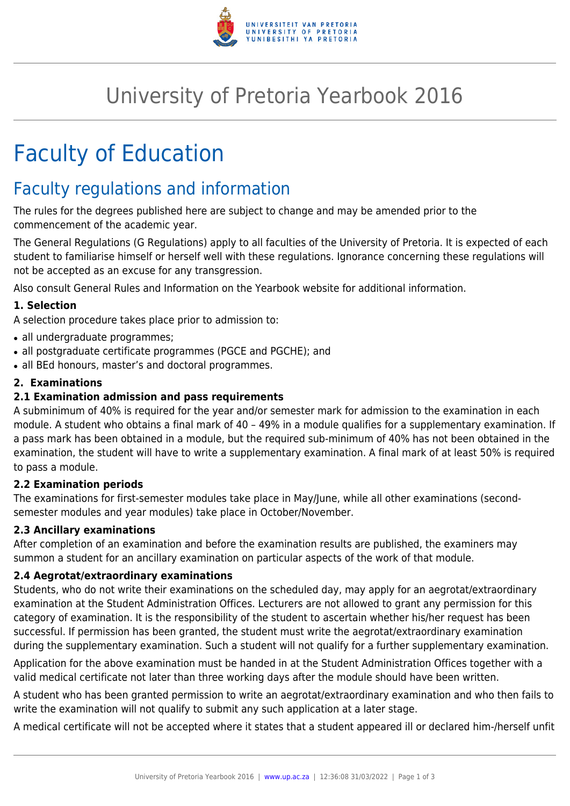

# University of Pretoria Yearbook 2016

# Faculty of Education

# Faculty regulations and information

The rules for the degrees published here are subject to change and may be amended prior to the commencement of the academic year.

The General Regulations (G Regulations) apply to all faculties of the University of Pretoria. It is expected of each student to familiarise himself or herself well with these regulations. Ignorance concerning these regulations will not be accepted as an excuse for any transgression.

Also consult General Rules and Information on the Yearbook website for additional information.

# **1. Selection**

A selection procedure takes place prior to admission to:

- all undergraduate programmes;
- all postgraduate certificate programmes (PGCE and PGCHE); and
- all BEd honours, master's and doctoral programmes.

# **2. Examinations**

# **2.1 Examination admission and pass requirements**

A subminimum of 40% is required for the year and/or semester mark for admission to the examination in each module. A student who obtains a final mark of 40 – 49% in a module qualifies for a supplementary examination. If a pass mark has been obtained in a module, but the required sub-minimum of 40% has not been obtained in the examination, the student will have to write a supplementary examination. A final mark of at least 50% is required to pass a module.

# **2.2 Examination periods**

The examinations for first-semester modules take place in May/June, while all other examinations (secondsemester modules and year modules) take place in October/November.

# **2.3 Ancillary examinations**

After completion of an examination and before the examination results are published, the examiners may summon a student for an ancillary examination on particular aspects of the work of that module.

# **2.4 Aegrotat/extraordinary examinations**

Students, who do not write their examinations on the scheduled day, may apply for an aegrotat/extraordinary examination at the Student Administration Offices. Lecturers are not allowed to grant any permission for this category of examination. It is the responsibility of the student to ascertain whether his/her request has been successful. If permission has been granted, the student must write the aegrotat/extraordinary examination during the supplementary examination. Such a student will not qualify for a further supplementary examination.

Application for the above examination must be handed in at the Student Administration Offices together with a valid medical certificate not later than three working days after the module should have been written.

A student who has been granted permission to write an aegrotat/extraordinary examination and who then fails to write the examination will not qualify to submit any such application at a later stage.

A medical certificate will not be accepted where it states that a student appeared ill or declared him-/herself unfit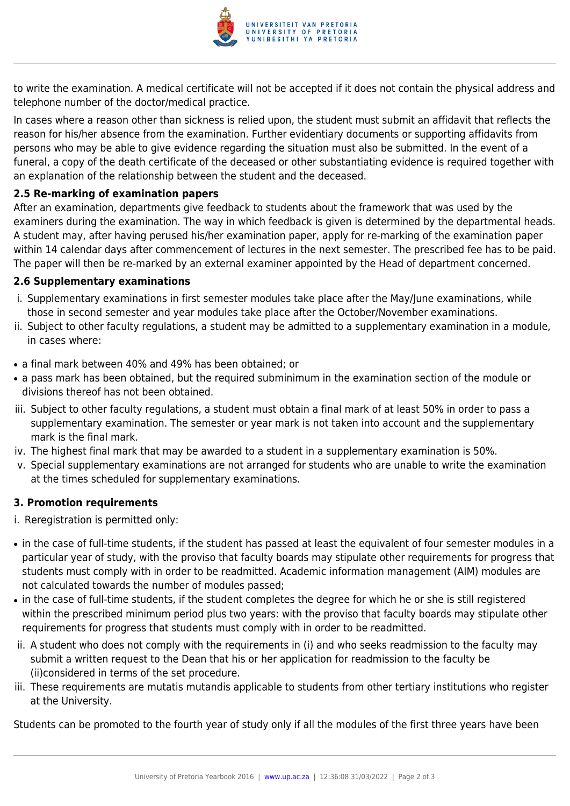

to write the examination. A medical certificate will not be accepted if it does not contain the physical address and telephone number of the doctor/medical practice.

In cases where a reason other than sickness is relied upon, the student must submit an affidavit that reflects the reason for his/her absence from the examination. Further evidentiary documents or supporting affidavits from persons who may be able to give evidence regarding the situation must also be submitted. In the event of a funeral, a copy of the death certificate of the deceased or other substantiating evidence is required together with an explanation of the relationship between the student and the deceased.

# **2.5 Re-marking of examination papers**

After an examination, departments give feedback to students about the framework that was used by the examiners during the examination. The way in which feedback is given is determined by the departmental heads. A student may, after having perused his/her examination paper, apply for re-marking of the examination paper within 14 calendar days after commencement of lectures in the next semester. The prescribed fee has to be paid. The paper will then be re-marked by an external examiner appointed by the Head of department concerned.

# **2.6 Supplementary examinations**

- i. Supplementary examinations in first semester modules take place after the May/June examinations, while those in second semester and year modules take place after the October/November examinations.
- ii. Subject to other faculty regulations, a student may be admitted to a supplementary examination in a module, in cases where:
- a final mark between 40% and 49% has been obtained; or
- a pass mark has been obtained, but the required subminimum in the examination section of the module or divisions thereof has not been obtained.
- iii. Subject to other faculty regulations, a student must obtain a final mark of at least 50% in order to pass a supplementary examination. The semester or year mark is not taken into account and the supplementary mark is the final mark.
- iv. The highest final mark that may be awarded to a student in a supplementary examination is 50%.
- v. Special supplementary examinations are not arranged for students who are unable to write the examination at the times scheduled for supplementary examinations.

# **3. Promotion requirements**

- i. Reregistration is permitted only:
- in the case of full-time students, if the student has passed at least the equivalent of four semester modules in a particular year of study, with the proviso that faculty boards may stipulate other requirements for progress that students must comply with in order to be readmitted. Academic information management (AIM) modules are not calculated towards the number of modules passed;
- in the case of full-time students, if the student completes the degree for which he or she is still registered within the prescribed minimum period plus two years: with the proviso that faculty boards may stipulate other requirements for progress that students must comply with in order to be readmitted.
- ii. A student who does not comply with the requirements in (i) and who seeks readmission to the faculty may submit a written request to the Dean that his or her application for readmission to the faculty be (ii)considered in terms of the set procedure.
- iii. These requirements are mutatis mutandis applicable to students from other tertiary institutions who register at the University.

Students can be promoted to the fourth year of study only if all the modules of the first three years have been